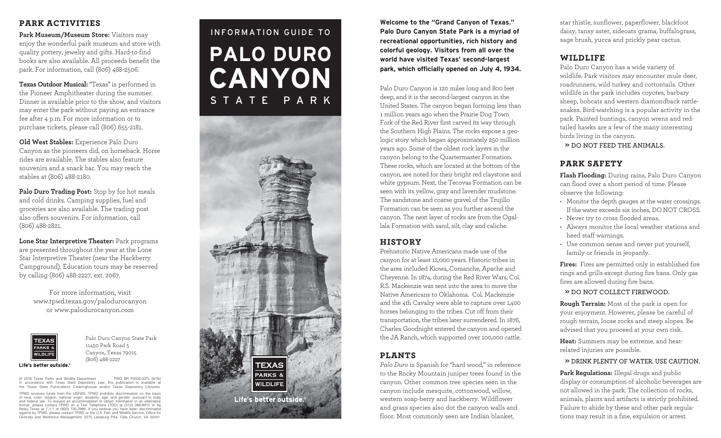## PARK ACTIVITIES

**Park Museum/Museum Store:** Visitors may enjoy the wonderful park museum and store with quality pottery, jewelry and gifts. Hard-to-find books are also available. All proceeds benefit the park. For information, call (806) 488-2506.

**Texas Outdoor Musical:** "Texas" is performed in the Pioneer Amphitheater during the summer. Dinner is available prior to the show, and visitors may enter the park without paying an entrance fee after 4 p.m. For more information or to purchase tickets, please call (806) 655-2181.

**Old West Stables:** Experience Palo Duro Canyon as the pioneers did, on horseback. Horse rides are available. The stables also feature souvenirs and a snack bar. You may reach the stables at (806) 488-2180.

**Palo Duro Trading Post:** Stop by for hot meals and cold drinks. Camping supplies, fuel and groceries are also available. The trading post also offers souvenirs. For information, call (806) 488-2821.

**Lone Star Interpretive Theater:** Park programs are presented throughout the year at the Lone Star Interpretive Theater (near the Hackberry Campground). Education tours may be reserved by calling (806) 488-2227, ext. 2067.

For more information, visit www.tpwd.texas.gov/palodurocanyon or www.palodurocanyon.com



Palo Duro Canyon State Park 11450 Park Road 5 Canyon, Texas 79015 (806) 488-2227

© 2016 Texas Parks and Wildlife Department PWD BR P4506-007L (8/16)<br>In accordance with Texas State Depository Law, this publication is available at<br>the Texas State Publications Clearingh

TPWD receives funds from the USFWS. TPWD prohibits discrimination on the basis<br>of race, color, religion, national origin, disability, age, and gender, pursuant to state<br>and federal law. To request an accommodation or obtai Diversity and Workforce Management, 5275 Leesburg Pike, Falls Church, VA 22041.

# INFORMATION GUIDE TO **PALO DURO CANYON** STATE PARK



**Welcome to the "Grand Canyon of Texas." Palo Duro Canyon State Park is a myriad of recreational opportunities, rich history and colorful geology. Visitors from all over the world have visited Texas' second-largest park, which officially opened on July 4, 1934.**

Palo Duro Canyon is 120 miles long and 800 feet deep, and it is the second-largest canyon in the United States. The canyon began forming less than 1 million years ago when the Prairie Dog Town Fork of the Red River first carved its way through the Southern High Plains. The rocks expose a geo logic story which began approximately 250 million years ago. Some of the oldest rock layers in the canyon belong to the Quartermaster Formation. These rocks, which are located at the bottom of the canyon, are noted for their bright red claystone and white gypsum. Next, the Tecovas Formation can be seen with its yellow, gray and lavender mudstone. The sandstone and coarse gravel of the Trujillo Formation can be seen as you further ascend the canyon. The next layer of rocks are from the Ogal lala Formation with sand, silt, clay and caliche.

#### HISTORY

Prehistoric Native Americans made use of the canyon for at least 12,000 years. Historic tribes in the area included Kiowa, Comanche, Apache and Cheyenne. In 1874, during the Red River Wars, Col. R.S. Mackenzie was sent into the area to move the Native Americans to Oklahoma. Col. Mackenzie and the 4th Cavalry were able to capture over 1,400 horses belonging to the tribes. Cut off from their transportation, the tribes later surrendered. In 1876, Charles Goodnight entered the canyon and opened the JA Ranch, which supported over 100,000 cattle.

## PLANTS

*Palo Duro* is Spanish for "hard wood," in reference to the Rocky Mountain juniper trees found in the canyon. Other common tree species seen in the canyon include mesquite, cottonwood, willow, western soap-berry and hackberry. Wildflower and grass species also dot the canyon walls and floor. Most commonly seen are Indian blanket,

star thistle, sunflower, paperflower, blackfoot daisy, tansy aster, sideoats grama, buffalograss, sage brush, yucca and prickly pear cactus.

## WILDLIFE

Palo Duro Canyon has a wide variety of wildlife. Park visitors may encounter mule deer, roadrunners, wild turkey and cottontails. Other wildlife in the park includes coyotes, barbary sheep, bobcats and western diamondback rattle snakes. Bird-watching is a popular activity in the park. Painted buntings, canyon wrens and redtailed hawks are a few of the many interesting birds living in the canyon.

**» DO NOT FEED THE ANIMALS.**

## PARK SAFETY

**Flash Flooding:** During rains, Palo Duro Canyon can flood over a short period of time. Please observe the following:

- Monitor the depth gauges at the water crossings. If the water exceeds six inches, DONOT CROSS.
- Never try to cross flooded areas.
- Always monitor the local weather stations and heed staff warnings.
- Use common sense and never put yourself, family or friends in jeopardy.

**Fires:** Fires are permitted only in established fire rings and grills except during fire bans. Only gas fires are allowed during fire bans.

**» DO NOT COLLECT FIREWOOD.**

**Rough Terrain:** Most of the park is open for your enjoyment. However, please be careful of rough terrain, loose rocks and steep slopes. Be advised that you proceed at your own risk.

**Heat:** Summers may be extreme, and heatrelated injuries are possible.

#### **» DRINK PLENTY OF WATER. USE CAUTION.**

**Park Regulations:** Illegal drugs and public display or consumption of alcoholic beverages are not allowed in the park. The collection of rocks, animals, plants and artifacts is strictly prohibited. Failure to abide by these and other park regula tions may result in a fine, expulsion or arrest.